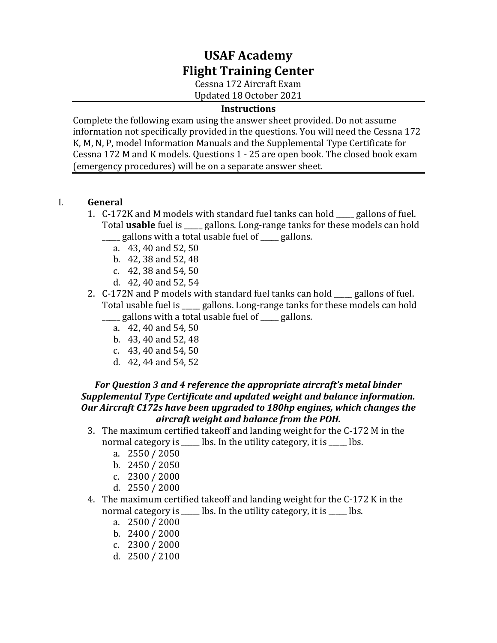# **USAF Academy Flight Training Center**

Cessna 172 Aircraft Exam Updated 18 October 2021

#### **Instructions**

Complete the following exam using the answer sheet provided. Do not assume information not specifically provided in the questions. You will need the Cessna 172 K, M, N, P, model Information Manuals and the Supplemental Type Certificate for Cessna 172 M and K models. Questions 1 - 25 are open book. The closed book exam (emergency procedures) will be on a separate answer sheet.

#### I. **General**

- 1. C-172K and M models with standard fuel tanks can hold \_\_\_\_\_ gallons of fuel. Total **usable** fuel is \_\_\_\_\_ gallons. Long-range tanks for these models can hold gallons with a total usable fuel of **warellons**.
	- a. 43, 40 and 52, 50
	- b. 42, 38 and 52, 48
	- c. 42, 38 and 54, 50
	- d. 42, 40 and 52, 54
- 2. C-172N and P models with standard fuel tanks can hold \_\_\_\_\_ gallons of fuel. Total usable fuel is eallons. Long-range tanks for these models can hold \_\_\_\_\_ gallons with a total usable fuel of \_\_\_\_\_ gallons.
	- a. 42, 40 and 54, 50
	- b. 43, 40 and 52, 48
	- c. 43, 40 and 54, 50
	- d. 42, 44 and 54, 52

#### *For Question 3 and 4 reference the appropriate aircraft's metal binder Supplemental Type Certificate and updated weight and balance information. Our Aircraft C172s have been upgraded to 180hp engines, which changes the aircraft weight and balance from the POH.*

- 3. The maximum certified takeoff and landing weight for the C-172 M in the normal category is \_\_\_\_\_ lbs. In the utility category, it is \_\_\_\_\_ lbs.
	- a. 2550 / 2050
	- b. 2450 / 2050
	- c. 2300 / 2000
	- d. 2550 / 2000
- 4. The maximum certified takeoff and landing weight for the C-172 K in the normal category is \_\_\_\_\_ lbs. In the utility category, it is \_\_\_\_ lbs.
	- a. 2500 / 2000
	- b. 2400 / 2000
	- c. 2300 / 2000
	- d. 2500 / 2100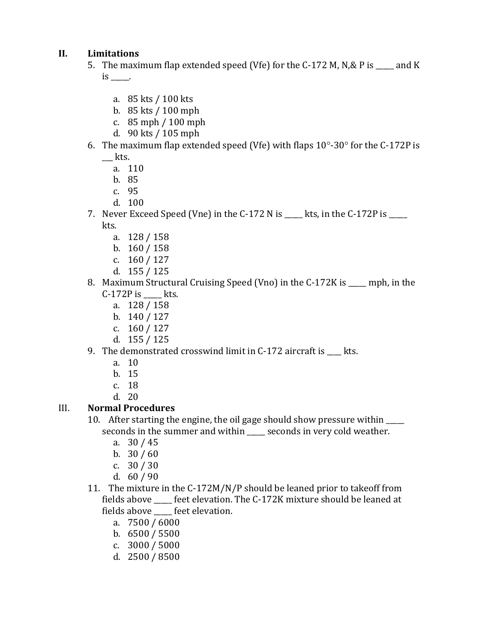## **II. Limitations**

- 5. The maximum flap extended speed (Vfe) for the C-172 M, N,& P is \_\_\_\_ and K  $is$   $\qquad$ .
	- a. 85 kts / 100 kts
	- b. 85 kts / 100 mph
	- c. 85 mph / 100 mph
	- d. 90 kts / 105 mph
- 6. The maximum flap extended speed (Vfe) with flaps  $10^{\circ}$ -30 $^{\circ}$  for the C-172P is  $\equiv$  kts.
	- a. 110
	- b. 85
	- c. 95
	- d. 100
- 7. Never Exceed Speed (Vne) in the C-172 N is \_\_\_\_ kts, in the C-172P is \_\_\_\_ kts.
	- a. 128 / 158
	- b. 160 / 158
	- c. 160 / 127
	- d. 155 / 125
- 8. Maximum Structural Cruising Speed (Vno) in the C-172K is mph, in the C-172P is \_\_\_\_\_ kts.
	- a. 128 / 158
	- b. 140 / 127
	- c. 160 / 127
	- d. 155 / 125
- 9. The demonstrated crosswind limit in C-172 aircraft is \_\_\_\_ kts.
	- a. 10
	- b. 15
	- c. 18
	- d. 20

## III. **Normal Procedures**

- 10. After starting the engine, the oil gage should show pressure within \_\_\_\_\_ seconds in the summer and within \_\_\_\_\_ seconds in very cold weather.
	- a. 30 / 45
	- b.  $30/60$
	- c. 30 / 30
	- d. 60 / 90
- 11. The mixture in the C-172M/N/P should be leaned prior to takeoff from fields above \_\_\_\_\_ feet elevation. The C-172K mixture should be leaned at fields above \_\_\_\_\_ feet elevation.
	- a. 7500 / 6000
	- b. 6500 / 5500
	- c. 3000 / 5000
	- d. 2500 / 8500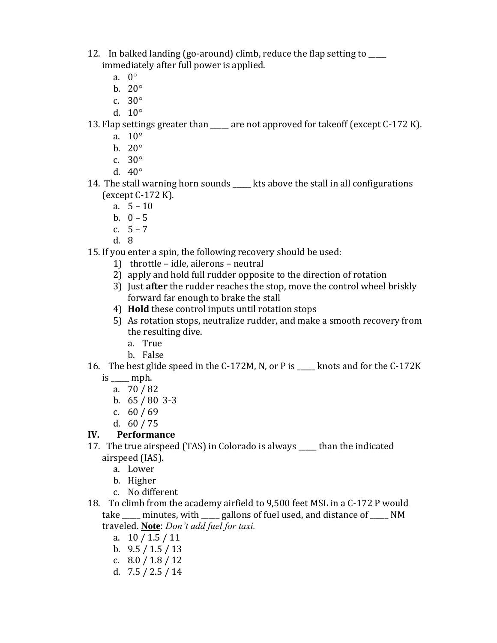- 12. In balked landing (go-around) climb, reduce the flap setting to \_\_\_\_\_ immediately after full power is applied.
	- a. 0
	- b.  $20^\circ$
	- c.  $30^\circ$
	- d.  $10^{\circ}$
- 13. Flap settings greater than \_\_\_\_\_ are not approved for takeoff (except C-172 K).
	- a.  $10^{\circ}$
	- b.  $20^\circ$
	- c.  $30^\circ$
	- d.  $40^{\circ}$
- 14. The stall warning horn sounds \_\_\_\_\_\_ kts above the stall in all configurations (except C-172 K).
	- a.  $5 10$
	- b.  $0 5$
	- c. 5 7
	- d. 8

15. If you enter a spin, the following recovery should be used:

- 1) throttle idle, ailerons neutral
- 2) apply and hold full rudder opposite to the direction of rotation
- 3) Just **after** the rudder reaches the stop, move the control wheel briskly forward far enough to brake the stall
- 4) **Hold** these control inputs until rotation stops
- 5) As rotation stops, neutralize rudder, and make a smooth recovery from the resulting dive.
	- a. True
	- b. False
- 16. The best glide speed in the C-172M, N, or P is \_\_\_\_\_ knots and for the C-172K  $is \_\_mph.$ 
	- a. 70 / 82
	- b.  $65 / 80$  3-3
	- c. 60 / 69
	- d. 60 / 75

### **IV. Performance**

- 17. The true airspeed (TAS) in Colorado is always \_\_\_\_\_ than the indicated airspeed (IAS).
	- a. Lower
	- b. Higher
	- c. No different
- 18. To climb from the academy airfield to 9,500 feet MSL in a C-172 P would take \_\_\_\_\_ minutes, with \_\_\_\_\_ gallons of fuel used, and distance of \_\_\_\_\_ NM traveled. **Note**: *Don't add fuel for taxi.*
	- a. 10 / 1.5 / 11
	- b.  $9.5 / 1.5 / 13$
	- c.  $8.0 / 1.8 / 12$
	- d. 7.5 / 2.5 / 14